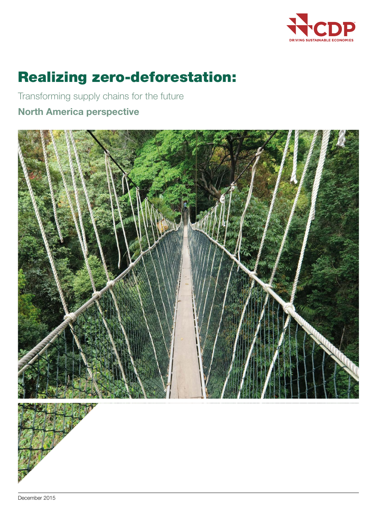

# Realizing zero-deforestation:

Transforming supply chains for the future

## North America perspective





December 2015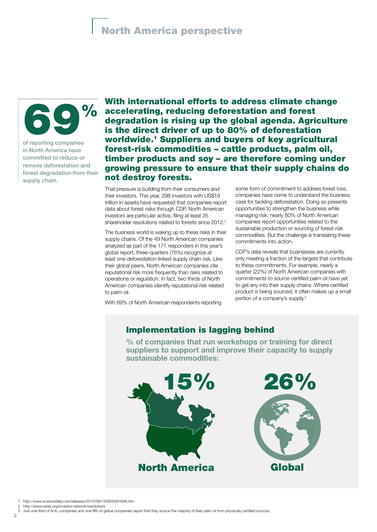## North America perspective



of reporting companies in North America have committed to reduce or remove deforestation and forest degradation from their supply chain.

With international efforts to address climate change accelerating, reducing deforestation and forest degradation is rising up the global agenda. Agriculture is the direct driver of up to 80% of deforestation worldwide.1 Suppliers and buyers of key agricultural forest-risk commodities – cattle products, palm oil, timber products and soy – are therefore coming under growing pressure to ensure that their supply chains do not destroy forests.

That pressure is building from their consumers and their investors. This year, 298 investors with US\$19 trillion in assets have requested that companies report data about forest risks through CDP. North American investors are particular active, filing at least 35 shareholder resolutions related to forests since 2012.<sup>2</sup>

The business world is waking up to these risks in their supply chains. Of the 49 North American companies analyzed as part of the 171 responders in this year's global report, three-quarters (76%) recognize at least one deforestation-linked supply chain risk. Like their global peers, North American companies cite reputational risk more frequently than risks related to operations or regulation. In fact, two thirds of North American companies identify reputational risk related to palm oil.

With 69% of North American respondents reporting

some form of commitment to address forest loss, companies have come to understand the business case for tackling deforestation. Doing so presents opportunities to strengthen the business while managing risk: nearly 80% of North American companies report opportunities related to the sustainable production or sourcing of forest-risk commodities. But the challenge is translating these commitments into action.

CDP's data reveals that businesses are currently only meeting a fraction of the targets that contribute to these commitments. For example, nearly a quarter (22%) of North American companies with commitments to source certified palm oil have yet to get any into their supply chains. Where certified product is being sourced, it often makes up a small portion of a company's supply.3

## Implementation is lagging behind

% of companies that run workshops or training for direct suppliers to support and improve their capacity to supply sustainable commodities:



<sup>1</sup> http://www.sciencedaily.com/releases/2012/09/120925091608.htm

http://www.ceres.org/investor-network/resolutions

<sup>3</sup> Just one third of N.A. companies and one fifth of global companies report that they source the majority of their palm oil from physically certified sources.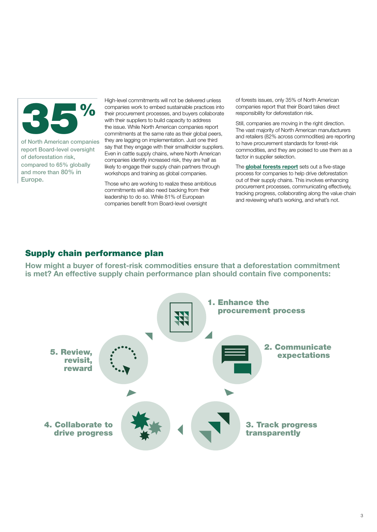

of North American companies report Board-level oversight of deforestation risk, compared to 65% globally and more than 80% in Europe.

High-level commitments will not be delivered unless companies work to embed sustainable practices into their procurement processes, and buyers collaborate with their suppliers to build capacity to address the issue. While North American companies report commitments at the same rate as their global peers, they are lagging on implementation. Just one third say that they engage with their smallholder suppliers. Even in cattle supply chains, where North American companies identify increased risk, they are half as likely to engage their supply chain partners through workshops and training as global companies.

Those who are working to realize these ambitious commitments will also need backing from their leadership to do so. While 81% of European companies benefit from Board-level oversight

of forests issues, only 35% of North American companies report that their Board takes direct responsibility for deforestation risk.

Still, companies are moving in the right direction. The vast majority of North American manufacturers and retailers (82% across commodities) are reporting to have procurement standards for forest-risk commodities, and they are poised to use them as a factor in supplier selection.

The **[global forests report](https://www.cdp.net/en-US/Pages/events/2015/forests/Global-Forests-Report-2015.aspx)** sets out a five-stage process for companies to help drive deforestation out of their supply chains. This involves enhancing procurement processes, communicating effectively, tracking progress, collaborating along the value chain and reviewing what's working, and what's not.

## Supply chain performance plan

How might a buyer of forest-risk commodities ensure that a deforestation commitment is met? An effective supply chain performance plan should contain five components: